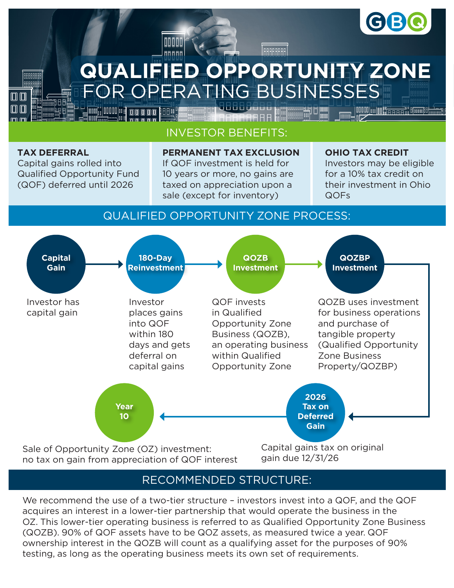

# PERATING BUSINESSES **QUALIFIED OPPORTUNITY ZONE**

GRAAAAAA

# INVESTOR BENEFITS:

**OOOOO** 

nnnnn

### **TAX DEFERRAL**

**ARABARAR BBBBBBBE ARBB** 

IΠ ſП

> Capital gains rolled into Qualified Opportunity Fund (QOF) deferred until 2026

**MMMMM** IOO AF

mana

#### **PERMANENT TAX EXCLUSION**

If QOF investment is held for 10 years or more, no gains are taxed on appreciation upon a sale (except for inventory)

#### **OHIO TAX CREDIT**

Investors may be eligible for a 10% tax credit on their investment in Ohio QOFs

## QUALIFIED OPPORTUNITY ZONE PROCESS:



# RECOMMENDED STRUCTURE:

We recommend the use of a two-tier structure – investors invest into a QOF, and the QOF acquires an interest in a lower-tier partnership that would operate the business in the OZ. This lower-tier operating business is referred to as Qualified Opportunity Zone Business (QOZB). 90% of QOF assets have to be QOZ assets, as measured twice a year. QOF ownership interest in the QOZB will count as a qualifying asset for the purposes of 90% testing, as long as the operating business meets its own set of requirements.